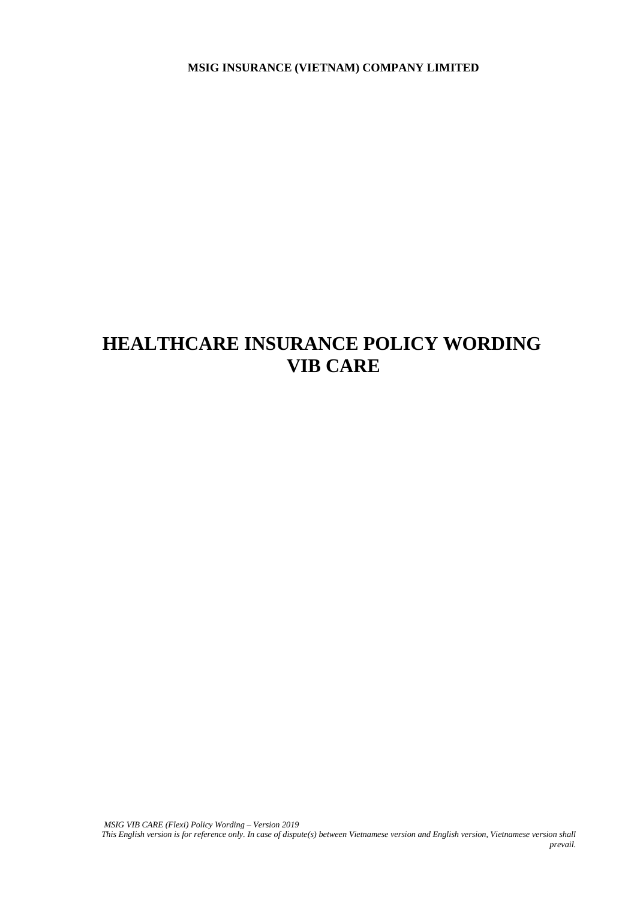**MSIG INSURANCE (VIETNAM) COMPANY LIMITED**

# **HEALTHCARE INSURANCE POLICY WORDING VIB CARE**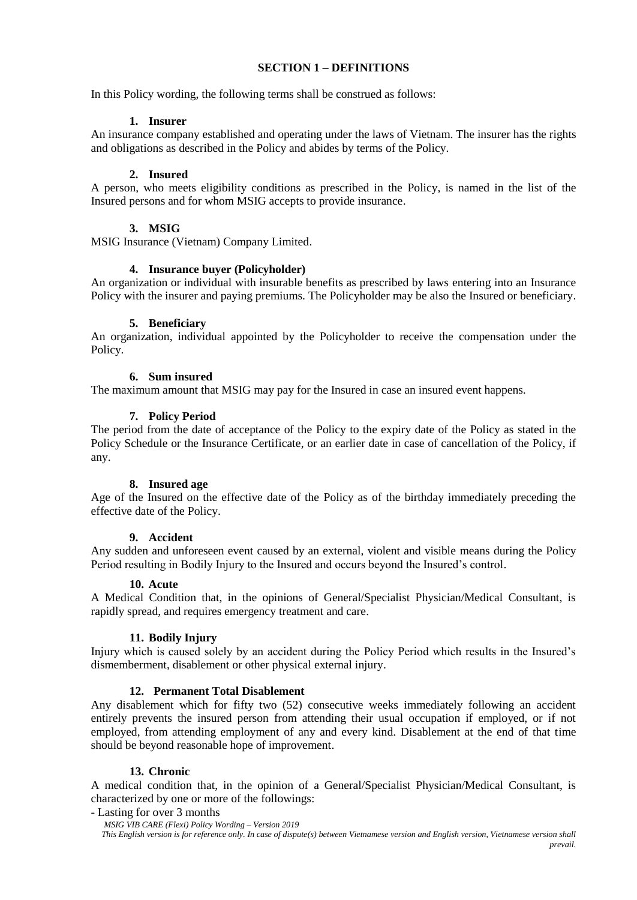## **SECTION 1 – DEFINITIONS**

In this Policy wording, the following terms shall be construed as follows:

## **1. Insurer**

An insurance company established and operating under the laws of Vietnam. The insurer has the rights and obligations as described in the Policy and abides by terms of the Policy.

## **2. Insured**

A person, who meets eligibility conditions as prescribed in the Policy, is named in the list of the Insured persons and for whom MSIG accepts to provide insurance.

# **3. MSIG**

MSIG Insurance (Vietnam) Company Limited.

## **4. Insurance buyer (Policyholder)**

An organization or individual with insurable benefits as prescribed by laws entering into an Insurance Policy with the insurer and paying premiums. The Policyholder may be also the Insured or beneficiary.

#### **5. Beneficiary**

An organization, individual appointed by the Policyholder to receive the compensation under the Policy.

## **6. Sum insured**

The maximum amount that MSIG may pay for the Insured in case an insured event happens.

## **7. Policy Period**

The period from the date of acceptance of the Policy to the expiry date of the Policy as stated in the Policy Schedule or the Insurance Certificate, or an earlier date in case of cancellation of the Policy, if any.

#### **8. Insured age**

Age of the Insured on the effective date of the Policy as of the birthday immediately preceding the effective date of the Policy.

#### **9. Accident**

Any sudden and unforeseen event caused by an external, violent and visible means during the Policy Period resulting in Bodily Injury to the Insured and occurs beyond the Insured's control.

#### **10. Acute**

A Medical Condition that, in the opinions of General/Specialist Physician/Medical Consultant, is rapidly spread, and requires emergency treatment and care.

#### **11. Bodily Injury**

Injury which is caused solely by an accident during the Policy Period which results in the Insured's dismemberment, disablement or other physical external injury.

# **12. Permanent Total Disablement**

Any disablement which for fifty two (52) consecutive weeks immediately following an accident entirely prevents the insured person from attending their usual occupation if employed, or if not employed, from attending employment of any and every kind. Disablement at the end of that time should be beyond reasonable hope of improvement.

#### **13. Chronic**

A medical condition that, in the opinion of a General/Specialist Physician/Medical Consultant, is characterized by one or more of the followings:

- Lasting for over 3 months

 *MSIG VIB CARE (Flexi) Policy Wording – Version 2019 This English version is for reference only. In case of dispute(s) between Vietnamese version and English version, Vietnamese version shall prevail.*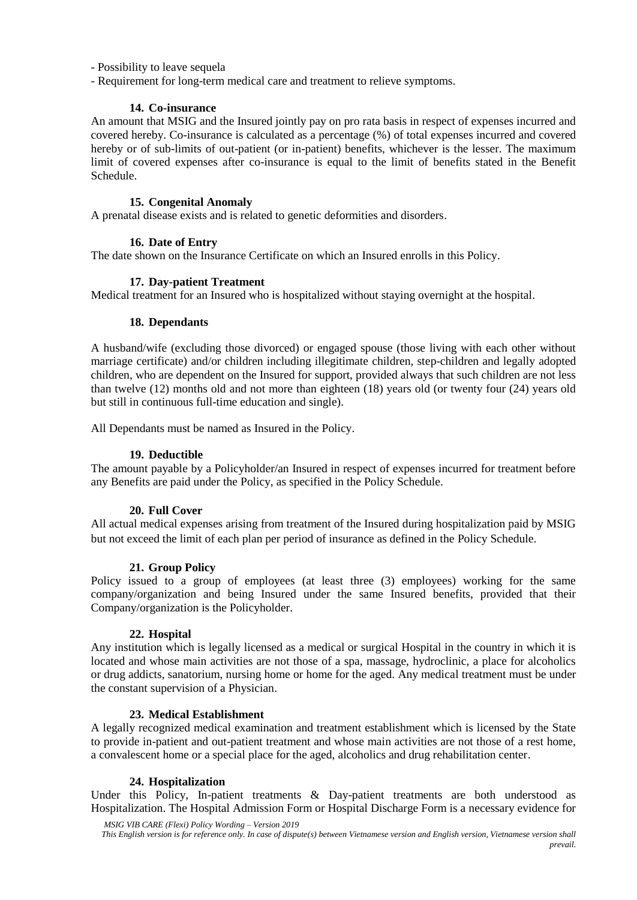- Possibility to leave sequela

- Requirement for long-term medical care and treatment to relieve symptoms.

## **14. Co-insurance**

An amount that MSIG and the Insured jointly pay on pro rata basis in respect of expenses incurred and covered hereby. Co-insurance is calculated as a percentage (%) of total expenses incurred and covered hereby or of sub-limits of out-patient (or in-patient) benefits, whichever is the lesser. The maximum limit of covered expenses after co-insurance is equal to the limit of benefits stated in the Benefit Schedule.

## **15. Congenital Anomaly**

A prenatal disease exists and is related to genetic deformities and disorders.

## **16. Date of Entry**

The date shown on the Insurance Certificate on which an Insured enrolls in this Policy.

#### **17. Day-patient Treatment**

Medical treatment for an Insured who is hospitalized without staying overnight at the hospital.

## **18. Dependants**

A husband/wife (excluding those divorced) or engaged spouse (those living with each other without marriage certificate) and/or children including illegitimate children, step-children and legally adopted children, who are dependent on the Insured for support, provided always that such children are not less than twelve (12) months old and not more than eighteen (18) years old (or twenty four (24) years old but still in continuous full-time education and single).

All Dependants must be named as Insured in the Policy.

## **19. Deductible**

The amount payable by a Policyholder/an Insured in respect of expenses incurred for treatment before any Benefits are paid under the Policy, as specified in the Policy Schedule.

#### **20. Full Cover**

All actual medical expenses arising from treatment of the Insured during hospitalization paid by MSIG but not exceed the limit of each plan per period of insurance as defined in the Policy Schedule.

# **21. Group Policy**

Policy issued to a group of employees (at least three (3) employees) working for the same company/organization and being Insured under the same Insured benefits, provided that their Company/organization is the Policyholder.

#### **22. Hospital**

Any institution which is legally licensed as a medical or surgical Hospital in the country in which it is located and whose main activities are not those of a spa, massage, hydroclinic, a place for alcoholics or drug addicts, sanatorium, nursing home or home for the aged. Any medical treatment must be under the constant supervision of a Physician.

#### **23. Medical Establishment**

A legally recognized medical examination and treatment establishment which is licensed by the State to provide in-patient and out-patient treatment and whose main activities are not those of a rest home, a convalescent home or a special place for the aged, alcoholics and drug rehabilitation center.

#### **24. Hospitalization**

Under this Policy, In-patient treatments  $\&$  Day-patient treatments are both understood as Hospitalization. The Hospital Admission Form or Hospital Discharge Form is a necessary evidence for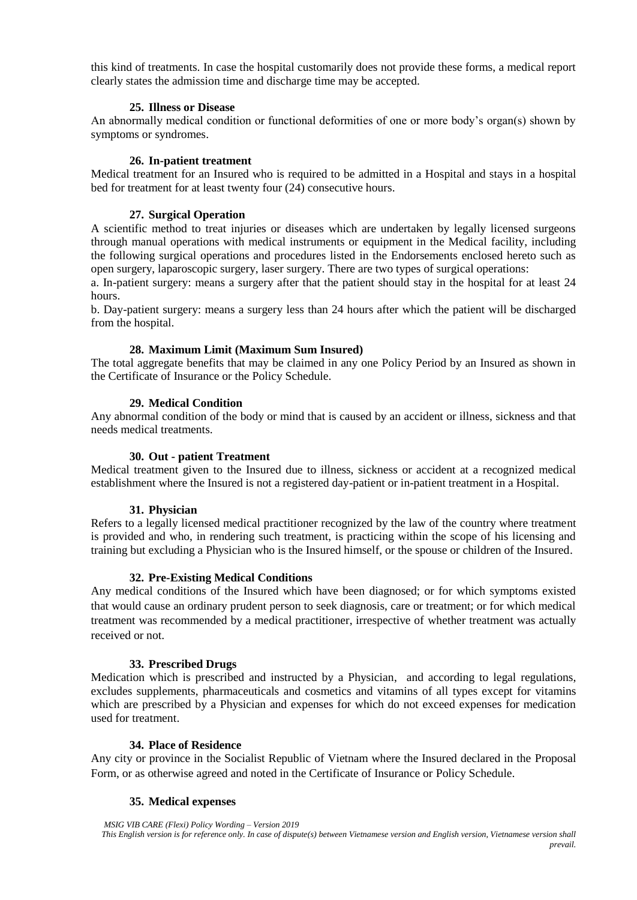this kind of treatments. In case the hospital customarily does not provide these forms, a medical report clearly states the admission time and discharge time may be accepted.

#### **25. Illness or Disease**

An abnormally medical condition or functional deformities of one or more body's organ(s) shown by symptoms or syndromes.

#### **26. In-patient treatment**

Medical treatment for an Insured who is required to be admitted in a Hospital and stays in a hospital bed for treatment for at least twenty four (24) consecutive hours.

#### **27. Surgical Operation**

A scientific method to treat injuries or diseases which are undertaken by legally licensed surgeons through manual operations with medical instruments or equipment in the Medical facility, including the following surgical operations and procedures listed in the Endorsements enclosed hereto such as open surgery, laparoscopic surgery, laser surgery. There are two types of surgical operations:

a. In-patient surgery: means a surgery after that the patient should stay in the hospital for at least 24 hours.

b. Day-patient surgery: means a surgery less than 24 hours after which the patient will be discharged from the hospital.

#### **28. Maximum Limit (Maximum Sum Insured)**

The total aggregate benefits that may be claimed in any one Policy Period by an Insured as shown in the Certificate of Insurance or the Policy Schedule.

#### **29. Medical Condition**

Any abnormal condition of the [body](http://en.wikipedia.org/wiki/Human_body) or [mind](http://en.wikipedia.org/wiki/Mind) that is caused by an accident or illness, sickness and that needs medical treatments.

#### **30. Out - patient Treatment**

Medical treatment given to the Insured due to illness, sickness or accident at a recognized medical establishment where the Insured is not a registered day-patient or in-patient treatment in a Hospital.

#### **31. Physician**

Refers to a legally licensed medical practitioner recognized by the law of the country where treatment is provided and who, in rendering such treatment, is practicing within the scope of his licensing and training but excluding a Physician who is the Insured himself, or the spouse or children of the Insured.

#### **32. Pre-Existing Medical Conditions**

Any medical conditions of the Insured which have been diagnosed; or for which symptoms existed that would cause an ordinary prudent person to seek diagnosis, care or treatment; or for which medical treatment was recommended by a medical practitioner, irrespective of whether treatment was actually received or not.

#### **33. Prescribed Drugs**

Medication which is prescribed and instructed by a Physician, and according to legal regulations, excludes supplements, pharmaceuticals and cosmetics and vitamins of all types except for vitamins which are prescribed by a Physician and expenses for which do not exceed expenses for medication used for treatment.

#### **34. Place of Residence**

Any city or province in the Socialist Republic of Vietnam where the Insured declared in the Proposal Form, or as otherwise agreed and noted in the Certificate of Insurance or Policy Schedule.

#### **35. Medical expenses**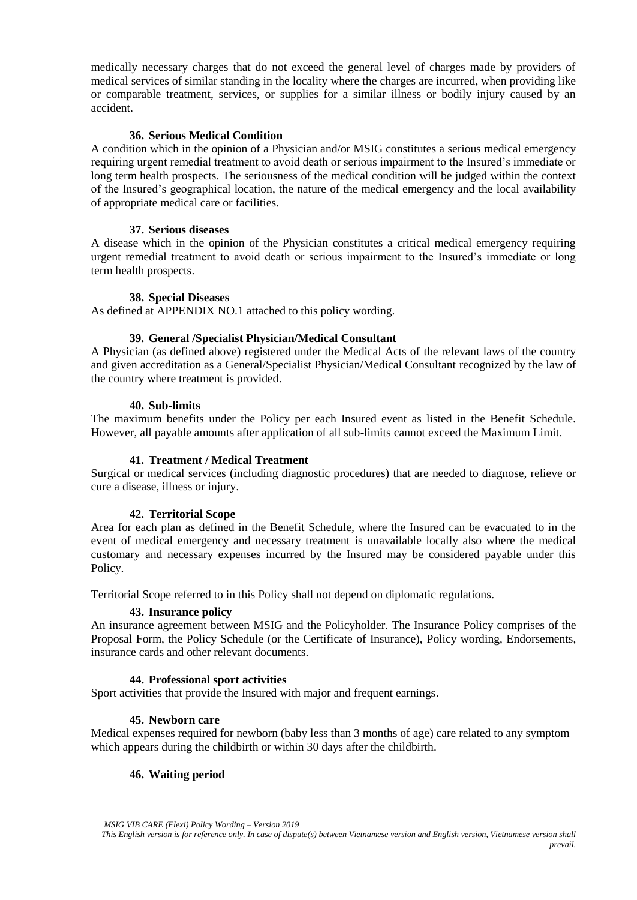medically necessary charges that do not exceed the general level of charges made by providers of medical services of similar standing in the locality where the charges are incurred, when providing like or comparable treatment, services, or supplies for a similar illness or bodily injury caused by an accident.

#### **36. Serious Medical Condition**

A condition which in the opinion of a Physician and/or MSIG constitutes a serious medical emergency requiring urgent remedial treatment to avoid death or serious impairment to the Insured's immediate or long term health prospects. The seriousness of the medical condition will be judged within the context of the Insured's geographical location, the nature of the medical emergency and the local availability of appropriate medical care or facilities.

#### **37. Serious diseases**

A disease which in the opinion of the Physician constitutes a critical medical emergency requiring urgent remedial treatment to avoid death or serious impairment to the Insured's immediate or long term health prospects.

## **38. Special Diseases**

As defined at APPENDIX NO.1 attached to this policy wording.

#### **39. General /Specialist Physician/Medical Consultant**

A Physician (as defined above) registered under the Medical Acts of the relevant laws of the country and given accreditation as a General/Specialist Physician/Medical Consultant recognized by the law of the country where treatment is provided.

#### **40. Sub-limits**

The maximum benefits under the Policy per each Insured event as listed in the Benefit Schedule. However, all payable amounts after application of all sub-limits cannot exceed the Maximum Limit.

#### **41. Treatment / Medical Treatment**

Surgical or medical services (including diagnostic procedures) that are needed to diagnose, relieve or cure a disease, illness or injury.

#### **42. Territorial Scope**

Area for each plan as defined in the Benefit Schedule, where the Insured can be evacuated to in the event of medical emergency and necessary treatment is unavailable locally also where the medical customary and necessary expenses incurred by the Insured may be considered payable under this Policy.

Territorial Scope referred to in this Policy shall not depend on diplomatic regulations.

#### **43. Insurance policy**

An insurance agreement between MSIG and the Policyholder. The Insurance Policy comprises of the Proposal Form, the Policy Schedule (or the Certificate of Insurance), Policy wording, Endorsements, insurance cards and other relevant documents.

#### **44. Professional sport activities**

Sport activities that provide the Insured with major and frequent earnings.

#### **45. Newborn care**

Medical expenses required for newborn (baby less than 3 months of age) care related to any symptom which appears during the childbirth or within 30 days after the childbirth.

#### **46. Waiting period**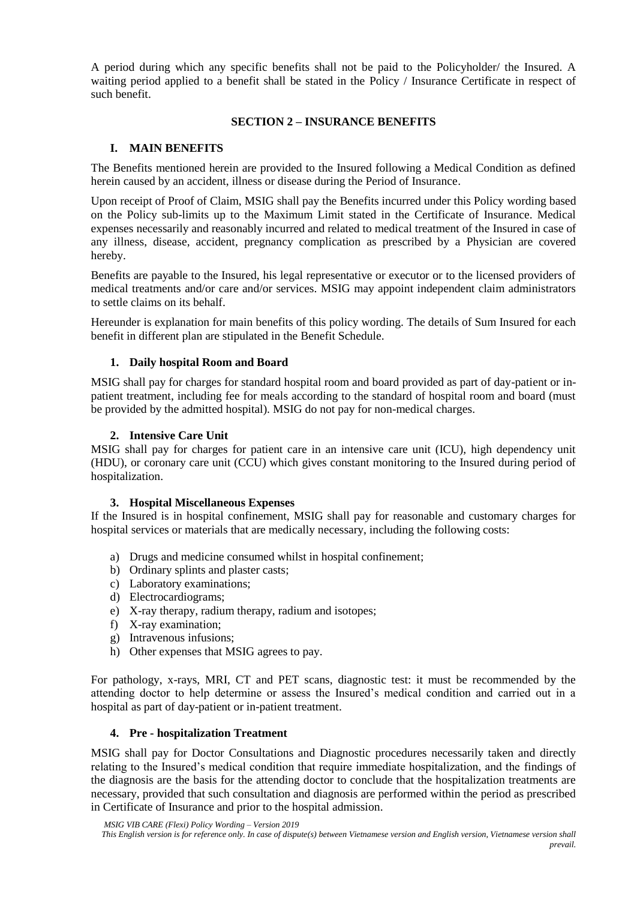A period during which any specific benefits shall not be paid to the Policyholder/ the Insured. A waiting period applied to a benefit shall be stated in the Policy / Insurance Certificate in respect of such benefit.

## **SECTION 2 – INSURANCE BENEFITS**

# **I. MAIN BENEFITS**

The Benefits mentioned herein are provided to the Insured following a Medical Condition as defined herein caused by an accident, illness or disease during the Period of Insurance.

Upon receipt of Proof of Claim, MSIG shall pay the Benefits incurred under this Policy wording based on the Policy sub-limits up to the Maximum Limit stated in the Certificate of Insurance. Medical expenses necessarily and reasonably incurred and related to medical treatment of the Insured in case of any illness, disease, accident, pregnancy complication as prescribed by a Physician are covered hereby.

Benefits are payable to the Insured, his legal representative or executor or to the licensed providers of medical treatments and/or care and/or services. MSIG may appoint independent claim administrators to settle claims on its behalf.

Hereunder is explanation for main benefits of this policy wording. The details of Sum Insured for each benefit in different plan are stipulated in the Benefit Schedule.

## **1. Daily hospital Room and Board**

MSIG shall pay for charges for standard hospital room and board provided as part of day-patient or inpatient treatment, including fee for meals according to the standard of hospital room and board (must be provided by the admitted hospital). MSIG do not pay for non-medical charges.

#### **2. Intensive Care Unit**

MSIG shall pay for charges for patient care in an intensive care unit (ICU), high dependency unit (HDU), or coronary care unit (CCU) which gives constant monitoring to the Insured during period of hospitalization.

#### **3. Hospital Miscellaneous Expenses**

If the Insured is in hospital confinement, MSIG shall pay for reasonable and customary charges for hospital services or materials that are medically necessary, including the following costs:

- a) Drugs and medicine consumed whilst in hospital confinement;
- b) Ordinary splints and plaster casts;
- c) Laboratory examinations;
- d) Electrocardiograms;
- e) X-ray therapy, radium therapy, radium and isotopes;
- f) X-ray examination;
- g) Intravenous infusions;
- h) Other expenses that MSIG agrees to pay.

For pathology, x-rays, MRI, CT and PET scans, diagnostic test: it must be recommended by the attending doctor to help determine or assess the Insured's medical condition and carried out in a hospital as part of day-patient or in-patient treatment.

#### **4. Pre - hospitalization Treatment**

MSIG shall pay for Doctor Consultations and Diagnostic procedures necessarily taken and directly relating to the Insured's medical condition that require immediate hospitalization, and the findings of the diagnosis are the basis for the attending doctor to conclude that the hospitalization treatments are necessary, provided that such consultation and diagnosis are performed within the period as prescribed in Certificate of Insurance and prior to the hospital admission.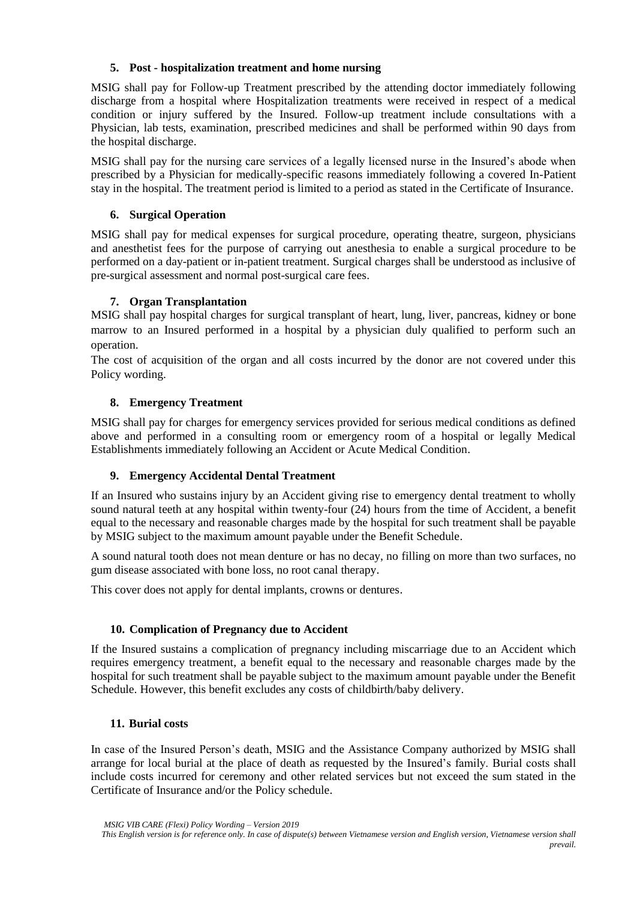## **5. Post - hospitalization treatment and home nursing**

MSIG shall pay for Follow-up Treatment prescribed by the attending doctor immediately following discharge from a hospital where Hospitalization treatments were received in respect of a medical condition or injury suffered by the Insured. Follow-up treatment include consultations with a Physician, lab tests, examination, prescribed medicines and shall be performed within 90 days from the hospital discharge.

MSIG shall pay for the nursing care services of a legally licensed nurse in the Insured's abode when prescribed by a Physician for medically-specific reasons immediately following a covered In-Patient stay in the hospital. The treatment period is limited to a period as stated in the Certificate of Insurance.

# **6. Surgical Operation**

MSIG shall pay for medical expenses for surgical procedure, operating theatre, surgeon, physicians and anesthetist fees for the purpose of carrying out anesthesia to enable a surgical procedure to be performed on a day-patient or in-patient treatment. Surgical charges shall be understood as inclusive of pre-surgical assessment and normal post-surgical care fees.

# **7. Organ Transplantation**

MSIG shall pay hospital charges for surgical transplant of heart, lung, liver, pancreas, kidney or bone marrow to an Insured performed in a hospital by a physician duly qualified to perform such an operation.

The cost of acquisition of the organ and all costs incurred by the donor are not covered under this Policy wording.

# **8. Emergency Treatment**

MSIG shall pay for charges for emergency services provided for serious medical conditions as defined above and performed in a consulting room or emergency room of a hospital or legally Medical Establishments immediately following an Accident or Acute Medical Condition.

# **9. Emergency Accidental Dental Treatment**

If an Insured who sustains injury by an Accident giving rise to emergency dental treatment to wholly sound natural teeth at any hospital within twenty-four (24) hours from the time of Accident, a benefit equal to the necessary and reasonable charges made by the hospital for such treatment shall be payable by MSIG subject to the maximum amount payable under the Benefit Schedule.

A sound natural tooth does not mean denture or has no decay, no filling on more than two surfaces, no gum disease associated with bone loss, no root canal therapy.

This cover does not apply for dental implants, crowns or dentures.

# **10. Complication of Pregnancy due to Accident**

If the Insured sustains a complication of pregnancy including miscarriage due to an Accident which requires emergency treatment, a benefit equal to the necessary and reasonable charges made by the hospital for such treatment shall be payable subject to the maximum amount payable under the Benefit Schedule. However, this benefit excludes any costs of childbirth/baby delivery.

# **11. Burial costs**

In case of the Insured Person's death, MSIG and the Assistance Company authorized by MSIG shall arrange for local burial at the place of death as requested by the Insured's family. Burial costs shall include costs incurred for ceremony and other related services but not exceed the sum stated in the Certificate of Insurance and/or the Policy schedule.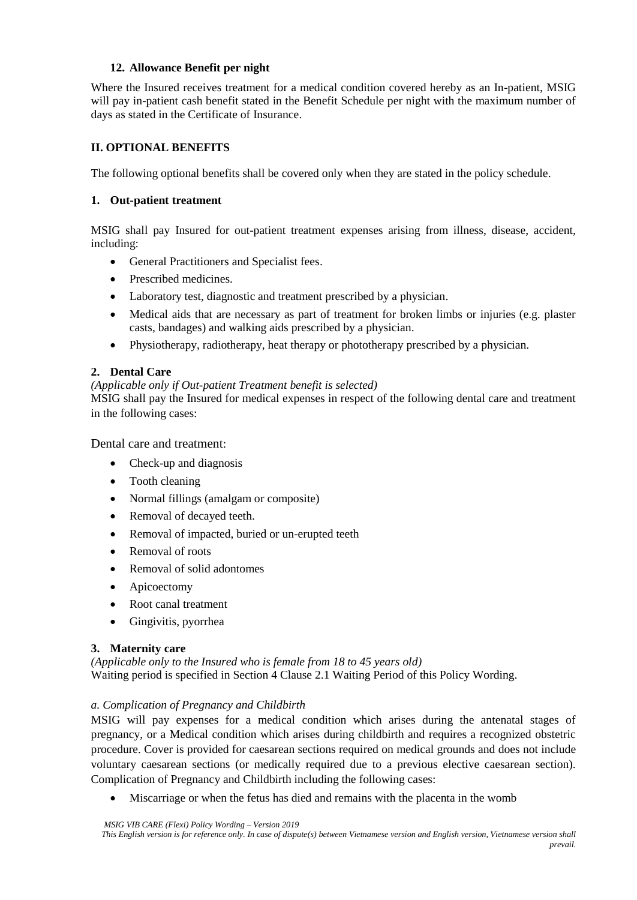# **12. Allowance Benefit per night**

Where the Insured receives treatment for a medical condition covered hereby as an In-patient, MSIG will pay in-patient cash benefit stated in the Benefit Schedule per night with the maximum number of days as stated in the Certificate of Insurance.

# **II. OPTIONAL BENEFITS**

The following optional benefits shall be covered only when they are stated in the policy schedule.

## **1. Out-patient treatment**

MSIG shall pay Insured for out-patient treatment expenses arising from illness, disease, accident, including:

- General Practitioners and Specialist fees.
- Prescribed medicines.
- Laboratory test, diagnostic and treatment prescribed by a physician.
- Medical aids that are necessary as part of treatment for broken limbs or injuries (e.g. plaster casts, bandages) and walking aids prescribed by a physician.
- Physiotherapy, radiotherapy, heat therapy or phototherapy prescribed by a physician.

## **2. Dental Care**

#### *(Applicable only if Out-patient Treatment benefit is selected)*

MSIG shall pay the Insured for medical expenses in respect of the following dental care and treatment in the following cases:

Dental care and treatment:

- Check-up and diagnosis
- Tooth cleaning
- Normal fillings (amalgam or composite)
- Removal of decayed teeth.
- Removal of impacted, buried or un-erupted teeth
- Removal of roots
- Removal of solid adontomes
- Apicoectomy
- Root canal treatment
- Gingivitis, pyorrhea

# **3. Maternity care**

*(Applicable only to the Insured who is female from 18 to 45 years old)* Waiting period is specified in Section 4 Clause 2.1 Waiting Period of this Policy Wording.

#### *a. Complication of Pregnancy and Childbirth*

MSIG will pay expenses for a medical condition which arises during the antenatal stages of pregnancy, or a Medical condition which arises during childbirth and requires a recognized obstetric procedure. Cover is provided for caesarean sections required on medical grounds and does not include voluntary caesarean sections (or medically required due to a previous elective caesarean section). Complication of Pregnancy and Childbirth including the following cases:

Miscarriage or when the fetus has died and remains with the placenta in the womb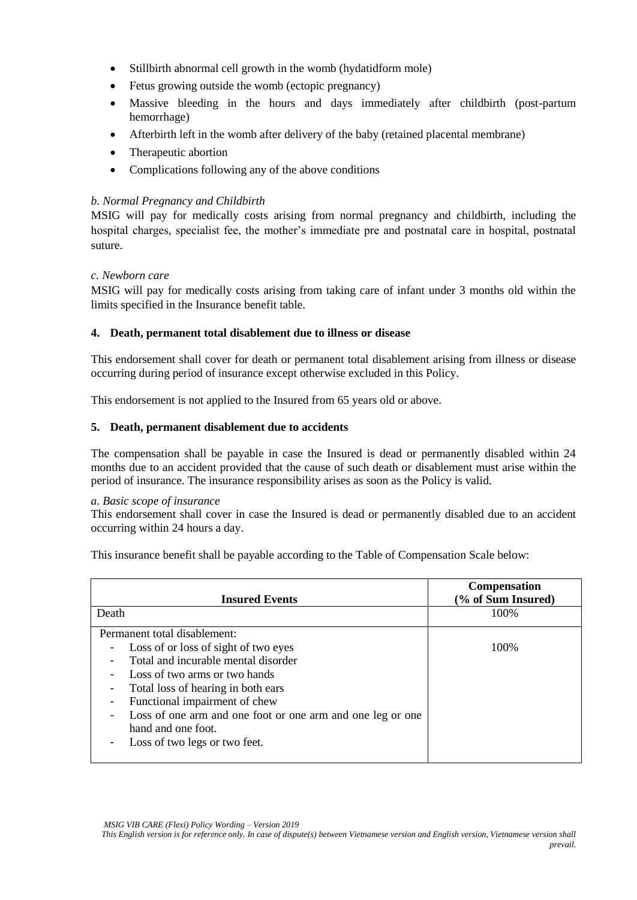- Stillbirth abnormal cell growth in the womb (hydatidform mole)
- Fetus growing outside the womb (ectopic pregnancy)
- Massive bleeding in the hours and days immediately after childbirth (post-partum hemorrhage)
- Afterbirth left in the womb after delivery of the baby (retained placental membrane)
- Therapeutic abortion
- Complications following any of the above conditions

# *b. Normal Pregnancy and Childbirth*

MSIG will pay for medically costs arising from normal pregnancy and childbirth, including the hospital charges, specialist fee, the mother's immediate pre and postnatal care in hospital, postnatal suture.

## *c. Newborn care*

MSIG will pay for medically costs arising from taking care of infant under 3 months old within the limits specified in the Insurance benefit table.

## **4. Death, permanent total disablement due to illness or disease**

This endorsement shall cover for death or permanent total disablement arising from illness or disease occurring during period of insurance except otherwise excluded in this Policy.

This endorsement is not applied to the Insured from 65 years old or above.

## **5. Death, permanent disablement due to accidents**

The compensation shall be payable in case the Insured is dead or permanently disabled within 24 months due to an accident provided that the cause of such death or disablement must arise within the period of insurance. The insurance responsibility arises as soon as the Policy is valid.

#### *a. Basic scope of insurance*

This endorsement shall cover in case the Insured is dead or permanently disabled due to an accident occurring within 24 hours a day.

This insurance benefit shall be payable according to the Table of Compensation Scale below:

| <b>Insured Events</b>                                           | <b>Compensation</b><br>(% of Sum Insured) |
|-----------------------------------------------------------------|-------------------------------------------|
| Death                                                           | 100\%                                     |
| Permanent total disablement:                                    |                                           |
| Loss of or loss of sight of two eyes<br>-                       | 100\%                                     |
| Total and incurable mental disorder                             |                                           |
| Loss of two arms or two hands                                   |                                           |
| Total loss of hearing in both ears<br>-                         |                                           |
| Functional impairment of chew<br>-                              |                                           |
| Loss of one arm and one foot or one arm and one leg or one<br>۰ |                                           |
| hand and one foot.                                              |                                           |
| Loss of two legs or two feet.<br>-                              |                                           |
|                                                                 |                                           |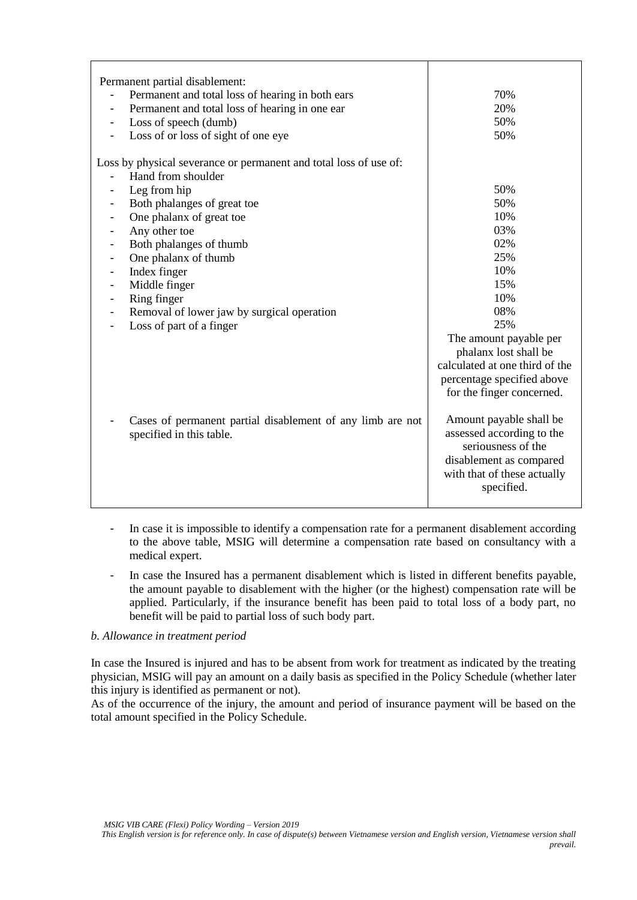| Permanent partial disablement:<br>Permanent and total loss of hearing in both ears<br>-<br>Permanent and total loss of hearing in one ear<br>-<br>Loss of speech (dumb)<br>Loss of or loss of sight of one eye | 70%<br>20%<br>50%<br>50%                                                                              |
|----------------------------------------------------------------------------------------------------------------------------------------------------------------------------------------------------------------|-------------------------------------------------------------------------------------------------------|
| Loss by physical severance or permanent and total loss of use of:                                                                                                                                              |                                                                                                       |
| Hand from shoulder                                                                                                                                                                                             |                                                                                                       |
| Leg from hip                                                                                                                                                                                                   | 50%                                                                                                   |
| Both phalanges of great toe                                                                                                                                                                                    | 50%                                                                                                   |
| One phalanx of great toe                                                                                                                                                                                       | 10%                                                                                                   |
| Any other toe                                                                                                                                                                                                  | 03%                                                                                                   |
| Both phalanges of thumb                                                                                                                                                                                        | 02%                                                                                                   |
| One phalanx of thumb                                                                                                                                                                                           | 25%                                                                                                   |
| Index finger                                                                                                                                                                                                   | 10%                                                                                                   |
| Middle finger                                                                                                                                                                                                  | 15%                                                                                                   |
| Ring finger                                                                                                                                                                                                    | 10%                                                                                                   |
| Removal of lower jaw by surgical operation                                                                                                                                                                     | 08%                                                                                                   |
| Loss of part of a finger                                                                                                                                                                                       | 25%                                                                                                   |
|                                                                                                                                                                                                                | The amount payable per                                                                                |
|                                                                                                                                                                                                                | phalanx lost shall be                                                                                 |
|                                                                                                                                                                                                                | calculated at one third of the                                                                        |
|                                                                                                                                                                                                                | percentage specified above                                                                            |
|                                                                                                                                                                                                                | for the finger concerned.                                                                             |
| Cases of permanent partial disablement of any limb are not<br>specified in this table.                                                                                                                         | Amount payable shall be<br>assessed according to the<br>seriousness of the<br>disablement as compared |
|                                                                                                                                                                                                                | with that of these actually<br>specified.                                                             |

- In case it is impossible to identify a compensation rate for a permanent disablement according to the above table, MSIG will determine a compensation rate based on consultancy with a medical expert.
- In case the Insured has a permanent disablement which is listed in different benefits payable, the amount payable to disablement with the higher (or the highest) compensation rate will be applied. Particularly, if the insurance benefit has been paid to total loss of a body part, no benefit will be paid to partial loss of such body part.

## *b. Allowance in treatment period*

In case the Insured is injured and has to be absent from work for treatment as indicated by the treating physician, MSIG will pay an amount on a daily basis as specified in the Policy Schedule (whether later this injury is identified as permanent or not).

As of the occurrence of the injury, the amount and period of insurance payment will be based on the total amount specified in the Policy Schedule.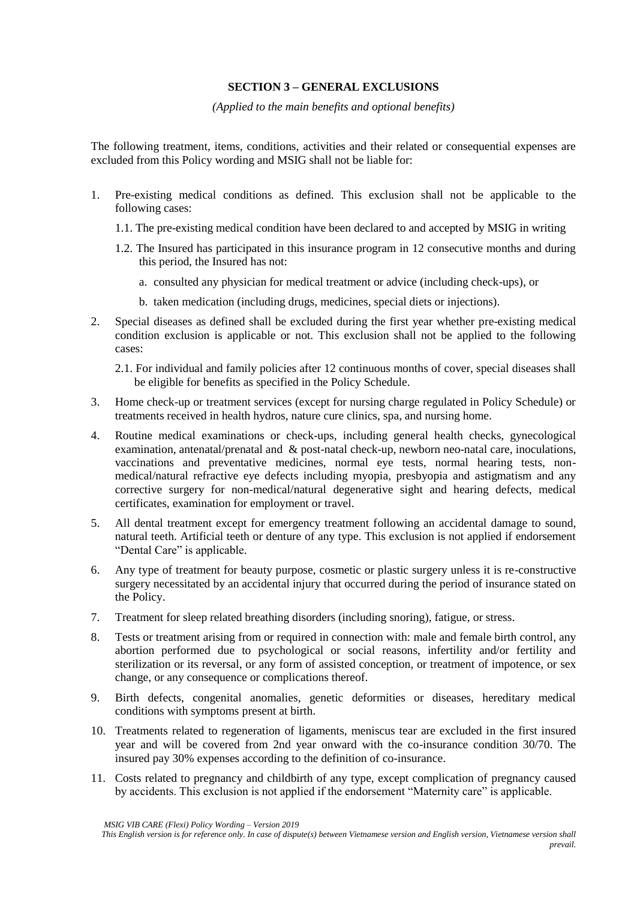# **SECTION 3 – GENERAL EXCLUSIONS**

#### *(Applied to the main benefits and optional benefits)*

The following treatment, items, conditions, activities and their related or consequential expenses are excluded from this Policy wording and MSIG shall not be liable for:

- 1. Pre-existing medical conditions as defined. This exclusion shall not be applicable to the following cases:
	- 1.1. The pre-existing medical condition have been declared to and accepted by MSIG in writing
	- 1.2. The Insured has participated in this insurance program in 12 consecutive months and during this period, the Insured has not:
		- a. consulted any physician for medical treatment or advice (including check-ups), or
		- b. taken medication (including drugs, medicines, special diets or injections).
- 2. Special diseases as defined shall be excluded during the first year whether pre-existing medical condition exclusion is applicable or not. This exclusion shall not be applied to the following cases:
	- 2.1. For individual and family policies after 12 continuous months of cover, special diseases shall be eligible for benefits as specified in the Policy Schedule.
- 3. Home check-up or treatment services (except for nursing charge regulated in Policy Schedule) or treatments received in health hydros, nature cure clinics, spa, and nursing home.
- 4. Routine medical examinations or check-ups, including general health checks, gynecological examination, antenatal/prenatal and & post-natal check-up, newborn neo-natal care, inoculations, vaccinations and preventative medicines, normal eye tests, normal hearing tests, nonmedical/natural refractive eye defects including myopia, presbyopia and astigmatism and any corrective surgery for non-medical/natural degenerative sight and hearing defects, medical certificates, examination for employment or travel.
- 5. All dental treatment except for emergency treatment following an accidental damage to sound, natural teeth. Artificial teeth or denture of any type. This exclusion is not applied if endorsement "Dental Care" is applicable.
- 6. Any type of treatment for beauty purpose, cosmetic or plastic surgery unless it is re-constructive surgery necessitated by an accidental injury that occurred during the period of insurance stated on the Policy.
- 7. Treatment for sleep related breathing disorders (including snoring), fatigue, or stress.
- 8. Tests or treatment arising from or required in connection with: male and female birth control, any abortion performed due to psychological or social reasons, infertility and/or fertility and sterilization or its reversal, or any form of assisted conception, or treatment of impotence, or sex change, or any consequence or complications thereof.
- 9. Birth defects, congenital anomalies, genetic deformities or diseases, hereditary medical conditions with symptoms present at birth.
- 10. Treatments related to regeneration of ligaments, meniscus tear are excluded in the first insured year and will be covered from 2nd year onward with the co-insurance condition 30/70. The insured pay 30% expenses according to the definition of co-insurance.
- 11. Costs related to pregnancy and childbirth of any type, except complication of pregnancy caused by accidents. This exclusion is not applied if the endorsement "Maternity care" is applicable.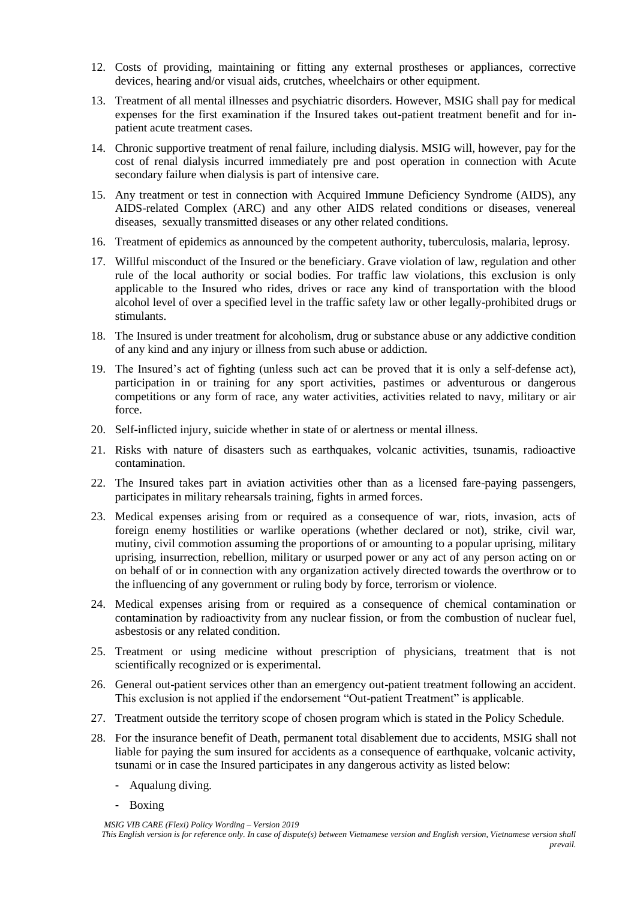- 12. Costs of providing, maintaining or fitting any external prostheses or appliances, corrective devices, hearing and/or visual aids, crutches, wheelchairs or other equipment.
- 13. Treatment of all mental illnesses and psychiatric disorders. However, MSIG shall pay for medical expenses for the first examination if the Insured takes out-patient treatment benefit and for inpatient acute treatment cases.
- 14. Chronic supportive treatment of renal failure, including dialysis. MSIG will, however, pay for the cost of renal dialysis incurred immediately pre and post operation in connection with Acute secondary failure when dialysis is part of intensive care.
- 15. Any treatment or test in connection with Acquired Immune Deficiency Syndrome (AIDS), any AIDS-related Complex (ARC) and any other AIDS related conditions or diseases, venereal diseases, sexually transmitted diseases or any other related conditions.
- 16. Treatment of epidemics as announced by the competent authority, tuberculosis, malaria, leprosy.
- 17. Willful misconduct of the Insured or the beneficiary. Grave violation of law, regulation and other rule of the local authority or social bodies. For traffic law violations, this exclusion is only applicable to the Insured who rides, drives or race any kind of transportation with the blood alcohol level of over a specified level in the traffic safety law or other legally-prohibited drugs or stimulants.
- 18. The Insured is under treatment for alcoholism, drug or substance abuse or any addictive condition of any kind and any injury or illness from such abuse or addiction.
- 19. The Insured's act of fighting (unless such act can be proved that it is only a self-defense act), participation in or training for any sport activities, pastimes or adventurous or dangerous competitions or any form of race, any water activities, activities related to navy, military or air force.
- 20. Self-inflicted injury, suicide whether in state of or alertness or mental illness.
- 21. Risks with nature of disasters such as earthquakes, volcanic activities, tsunamis, radioactive contamination.
- 22. The Insured takes part in aviation activities other than as a licensed fare-paying passengers, participates in military rehearsals training, fights in armed forces.
- 23. Medical expenses arising from or required as a consequence of war, riots, invasion, acts of foreign enemy hostilities or warlike operations (whether declared or not), strike, civil war, mutiny, civil commotion assuming the proportions of or amounting to a popular uprising, military uprising, insurrection, rebellion, military or usurped power or any act of any person acting on or on behalf of or in connection with any organization actively directed towards the overthrow or to the influencing of any government or ruling body by force, terrorism or violence.
- 24. Medical expenses arising from or required as a consequence of chemical contamination or contamination by radioactivity from any nuclear fission, or from the combustion of nuclear fuel, asbestosis or any related condition.
- 25. Treatment or using medicine without prescription of physicians, treatment that is not scientifically recognized or is experimental.
- 26. General out-patient services other than an emergency out-patient treatment following an accident. This exclusion is not applied if the endorsement "Out-patient Treatment" is applicable.
- 27. Treatment outside the territory scope of chosen program which is stated in the Policy Schedule.
- 28. For the insurance benefit of Death, permanent total disablement due to accidents, MSIG shall not liable for paying the sum insured for accidents as a consequence of earthquake, volcanic activity, tsunami or in case the Insured participates in any dangerous activity as listed below:
	- Aqualung diving.
	- Boxing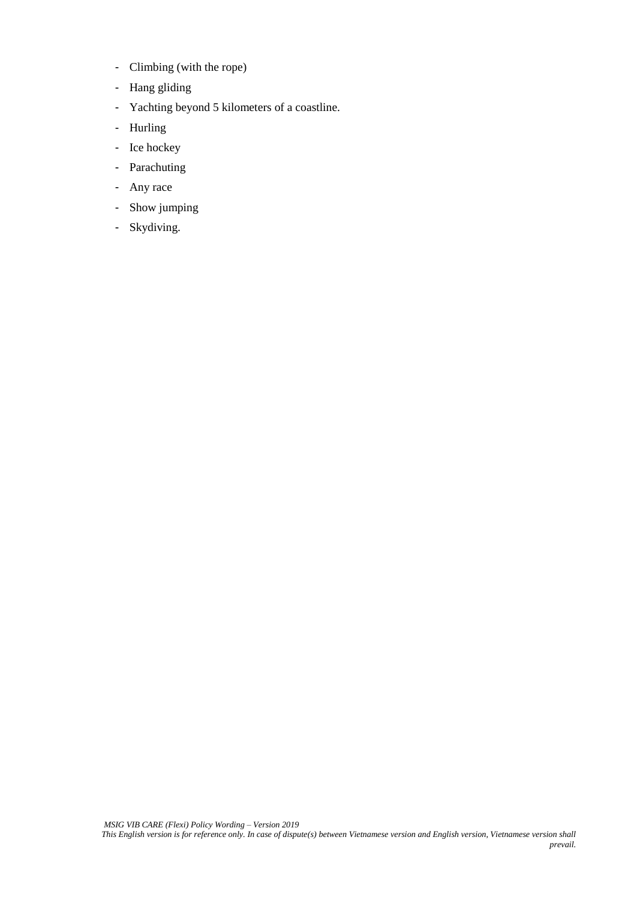- Climbing (with the rope)
- Hang gliding
- Yachting beyond 5 kilometers of a coastline.
- Hurling
- Ice hockey
- Parachuting
- Any race
- Show jumping
- Skydiving.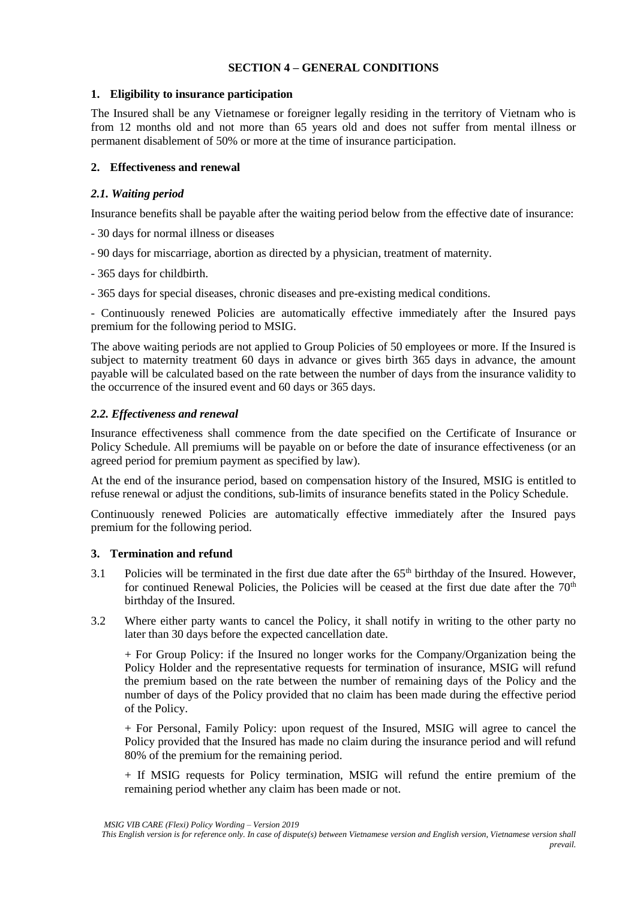## **SECTION 4 – GENERAL CONDITIONS**

## **1. Eligibility to insurance participation**

The Insured shall be any Vietnamese or foreigner legally residing in the territory of Vietnam who is from 12 months old and not more than 65 years old and does not suffer from mental illness or permanent disablement of 50% or more at the time of insurance participation.

# **2. Effectiveness and renewal**

## *2.1. Waiting period*

Insurance benefits shall be payable after the waiting period below from the effective date of insurance:

- 30 days for normal illness or diseases
- 90 days for miscarriage, abortion as directed by a physician, treatment of maternity.
- 365 days for childbirth.
- 365 days for special diseases, chronic diseases and pre-existing medical conditions.

- Continuously renewed Policies are automatically effective immediately after the Insured pays premium for the following period to MSIG.

The above waiting periods are not applied to Group Policies of 50 employees or more. If the Insured is subject to maternity treatment 60 days in advance or gives birth 365 days in advance, the amount payable will be calculated based on the rate between the number of days from the insurance validity to the occurrence of the insured event and 60 days or 365 days.

# *2.2. Effectiveness and renewal*

Insurance effectiveness shall commence from the date specified on the Certificate of Insurance or Policy Schedule. All premiums will be payable on or before the date of insurance effectiveness (or an agreed period for premium payment as specified by law).

At the end of the insurance period, based on compensation history of the Insured, MSIG is entitled to refuse renewal or adjust the conditions, sub-limits of insurance benefits stated in the Policy Schedule.

Continuously renewed Policies are automatically effective immediately after the Insured pays premium for the following period.

#### **3. Termination and refund**

- 3.1 Policies will be terminated in the first due date after the 65<sup>th</sup> birthday of the Insured. However, for continued Renewal Policies, the Policies will be ceased at the first due date after the  $70<sup>th</sup>$ birthday of the Insured.
- 3.2 Where either party wants to cancel the Policy, it shall notify in writing to the other party no later than 30 days before the expected cancellation date.

+ For Group Policy: if the Insured no longer works for the Company/Organization being the Policy Holder and the representative requests for termination of insurance, MSIG will refund the premium based on the rate between the number of remaining days of the Policy and the number of days of the Policy provided that no claim has been made during the effective period of the Policy.

+ For Personal, Family Policy: upon request of the Insured, MSIG will agree to cancel the Policy provided that the Insured has made no claim during the insurance period and will refund 80% of the premium for the remaining period.

+ If MSIG requests for Policy termination, MSIG will refund the entire premium of the remaining period whether any claim has been made or not.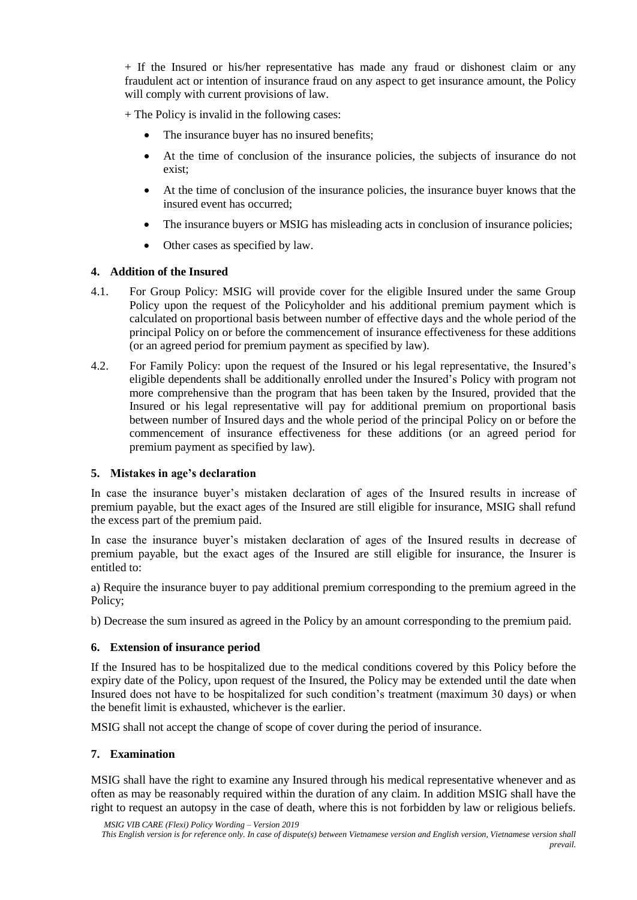+ If the Insured or his/her representative has made any fraud or dishonest claim or any fraudulent act or intention of insurance fraud on any aspect to get insurance amount, the Policy will comply with current provisions of law.

+ The Policy is invalid in the following cases:

- The insurance buyer has no insured benefits;
- At the time of conclusion of the insurance policies, the subjects of insurance do not exist;
- At the time of conclusion of the insurance policies, the insurance buyer knows that the insured event has occurred;
- The insurance buyers or MSIG has misleading acts in conclusion of insurance policies;
- Other cases as specified by law.

## **4. Addition of the Insured**

- 4.1. For Group Policy: MSIG will provide cover for the eligible Insured under the same Group Policy upon the request of the Policyholder and his additional premium payment which is calculated on proportional basis between number of effective days and the whole period of the principal Policy on or before the commencement of insurance effectiveness for these additions (or an agreed period for premium payment as specified by law).
- 4.2. For Family Policy: upon the request of the Insured or his legal representative, the Insured's eligible dependents shall be additionally enrolled under the Insured's Policy with program not more comprehensive than the program that has been taken by the Insured, provided that the Insured or his legal representative will pay for additional premium on proportional basis between number of Insured days and the whole period of the principal Policy on or before the commencement of insurance effectiveness for these additions (or an agreed period for premium payment as specified by law).

#### **5. Mistakes in age's declaration**

In case the insurance buyer's mistaken declaration of ages of the Insured results in increase of premium payable, but the exact ages of the Insured are still eligible for insurance, MSIG shall refund the excess part of the premium paid.

In case the insurance buyer's mistaken declaration of ages of the Insured results in decrease of premium payable, but the exact ages of the Insured are still eligible for insurance, the Insurer is entitled to:

a) Require the insurance buyer to pay additional premium corresponding to the premium agreed in the Policy;

b) Decrease the sum insured as agreed in the Policy by an amount corresponding to the premium paid.

#### **6. Extension of insurance period**

If the Insured has to be hospitalized due to the medical conditions covered by this Policy before the expiry date of the Policy, upon request of the Insured, the Policy may be extended until the date when Insured does not have to be hospitalized for such condition's treatment (maximum 30 days) or when the benefit limit is exhausted, whichever is the earlier.

MSIG shall not accept the change of scope of cover during the period of insurance.

#### **7. Examination**

MSIG shall have the right to examine any Insured through his medical representative whenever and as often as may be reasonably required within the duration of any claim. In addition MSIG shall have the right to request an autopsy in the case of death, where this is not forbidden by law or religious beliefs.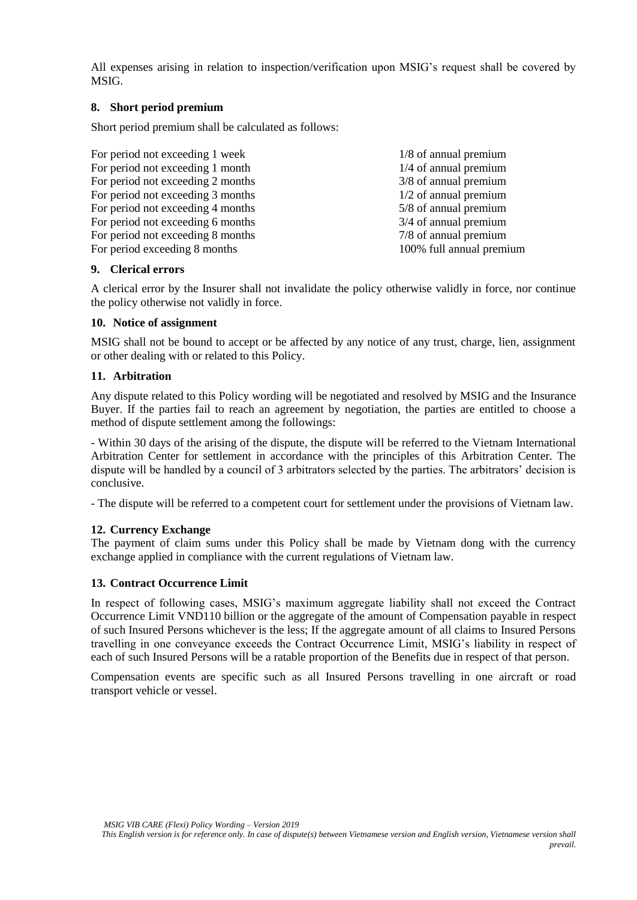All expenses arising in relation to inspection/verification upon MSIG's request shall be covered by MSIG.

## **8. Short period premium**

Short period premium shall be calculated as follows:

| For period not exceeding 1 week   | 1/8 of annual premium    |
|-----------------------------------|--------------------------|
| For period not exceeding 1 month  | $1/4$ of annual premium  |
| For period not exceeding 2 months | 3/8 of annual premium    |
| For period not exceeding 3 months | $1/2$ of annual premium  |
| For period not exceeding 4 months | 5/8 of annual premium    |
| For period not exceeding 6 months | 3/4 of annual premium    |
| For period not exceeding 8 months | 7/8 of annual premium    |
| For period exceeding 8 months     | 100% full annual premium |

## **9. Clerical errors**

A clerical error by the Insurer shall not invalidate the policy otherwise validly in force, nor continue the policy otherwise not validly in force.

## **10. Notice of assignment**

MSIG shall not be bound to accept or be affected by any notice of any trust, charge, lien, assignment or other dealing with or related to this Policy.

## **11. Arbitration**

Any dispute related to this Policy wording will be negotiated and resolved by MSIG and the Insurance Buyer. If the parties fail to reach an agreement by negotiation, the parties are entitled to choose a method of dispute settlement among the followings:

- Within 30 days of the arising of the dispute, the dispute will be referred to the Vietnam International Arbitration Center for settlement in accordance with the principles of this Arbitration Center. The dispute will be handled by a council of 3 arbitrators selected by the parties. The arbitrators' decision is conclusive.

- The dispute will be referred to a competent court for settlement under the provisions of Vietnam law.

# **12. Currency Exchange**

The payment of claim sums under this Policy shall be made by Vietnam dong with the currency exchange applied in compliance with the current regulations of Vietnam law.

# **13. Contract Occurrence Limit**

In respect of following cases, MSIG's maximum aggregate liability shall not exceed the Contract Occurrence Limit VND110 billion or the aggregate of the amount of Compensation payable in respect of such Insured Persons whichever is the less; If the aggregate amount of all claims to Insured Persons travelling in one conveyance exceeds the Contract Occurrence Limit, MSIG's liability in respect of each of such Insured Persons will be a ratable proportion of the Benefits due in respect of that person.

Compensation events are specific such as all Insured Persons travelling in one aircraft or road transport vehicle or vessel.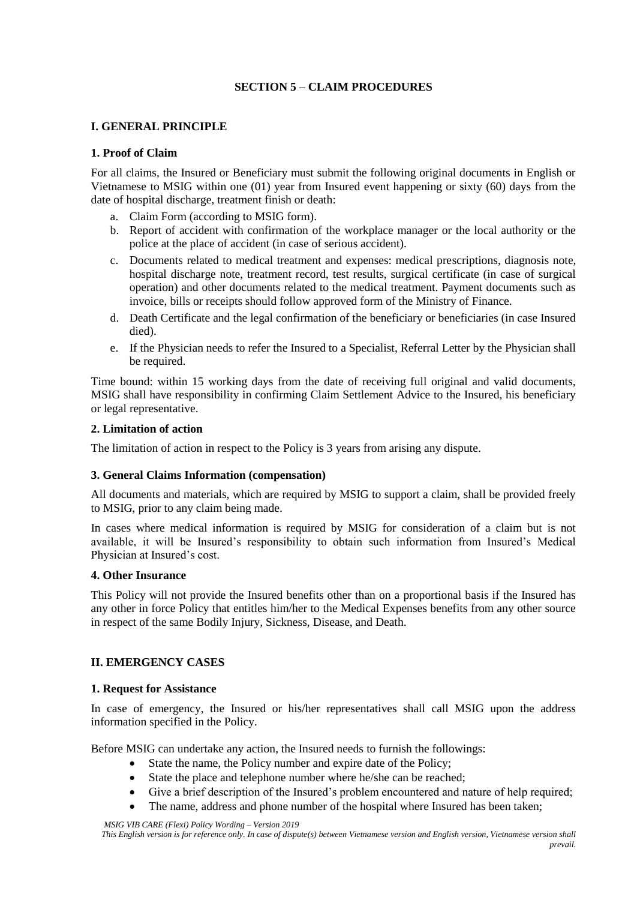# **SECTION 5 – CLAIM PROCEDURES**

## **I. GENERAL PRINCIPLE**

## **1. Proof of Claim**

For all claims, the Insured or Beneficiary must submit the following original documents in English or Vietnamese to MSIG within one (01) year from Insured event happening or sixty (60) days from the date of hospital discharge, treatment finish or death:

- a. Claim Form (according to MSIG form).
- b. Report of accident with confirmation of the workplace manager or the local authority or the police at the place of accident (in case of serious accident).
- c. Documents related to medical treatment and expenses: medical prescriptions, diagnosis note, hospital discharge note, treatment record, test results, surgical certificate (in case of surgical operation) and other documents related to the medical treatment. Payment documents such as invoice, bills or receipts should follow approved form of the Ministry of Finance.
- d. Death Certificate and the legal confirmation of the beneficiary or beneficiaries (in case Insured died).
- e. If the Physician needs to refer the Insured to a Specialist, Referral Letter by the Physician shall be required.

Time bound: within 15 working days from the date of receiving full original and valid documents, MSIG shall have responsibility in confirming Claim Settlement Advice to the Insured, his beneficiary or legal representative.

#### **2. Limitation of action**

The limitation of action in respect to the Policy is 3 years from arising any dispute.

# **3. General Claims Information (compensation)**

All documents and materials, which are required by MSIG to support a claim, shall be provided freely to MSIG, prior to any claim being made.

In cases where medical information is required by MSIG for consideration of a claim but is not available, it will be Insured's responsibility to obtain such information from Insured's Medical Physician at Insured's cost.

#### **4. Other Insurance**

This Policy will not provide the Insured benefits other than on a proportional basis if the Insured has any other in force Policy that entitles him/her to the Medical Expenses benefits from any other source in respect of the same Bodily Injury, Sickness, Disease, and Death.

# **II. EMERGENCY CASES**

#### **1. Request for Assistance**

In case of emergency, the Insured or his/her representatives shall call MSIG upon the address information specified in the Policy.

Before MSIG can undertake any action, the Insured needs to furnish the followings:

- State the name, the Policy number and expire date of the Policy;
- State the place and telephone number where he/she can be reached;
- Give a brief description of the Insured's problem encountered and nature of help required;
- The name, address and phone number of the hospital where Insured has been taken;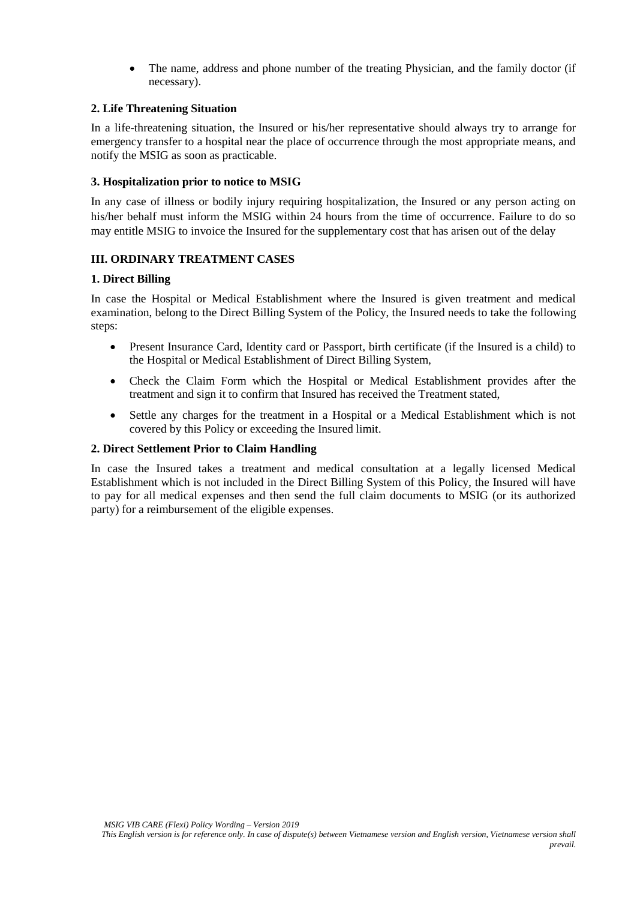• The name, address and phone number of the treating Physician, and the family doctor (if necessary).

# **2. Life Threatening Situation**

In a life-threatening situation, the Insured or his/her representative should always try to arrange for emergency transfer to a hospital near the place of occurrence through the most appropriate means, and notify the MSIG as soon as practicable.

#### **3. Hospitalization prior to notice to MSIG**

In any case of illness or bodily injury requiring hospitalization, the Insured or any person acting on his/her behalf must inform the MSIG within 24 hours from the time of occurrence. Failure to do so may entitle MSIG to invoice the Insured for the supplementary cost that has arisen out of the delay

# **III. ORDINARY TREATMENT CASES**

#### **1. Direct Billing**

In case the Hospital or Medical Establishment where the Insured is given treatment and medical examination, belong to the Direct Billing System of the Policy, the Insured needs to take the following steps:

- Present Insurance Card, Identity card or Passport, birth certificate (if the Insured is a child) to the Hospital or Medical Establishment of Direct Billing System,
- Check the Claim Form which the Hospital or Medical Establishment provides after the treatment and sign it to confirm that Insured has received the Treatment stated,
- Settle any charges for the treatment in a Hospital or a Medical Establishment which is not covered by this Policy or exceeding the Insured limit.

#### **2. Direct Settlement Prior to Claim Handling**

In case the Insured takes a treatment and medical consultation at a legally licensed Medical Establishment which is not included in the Direct Billing System of this Policy, the Insured will have to pay for all medical expenses and then send the full claim documents to MSIG (or its authorized party) for a reimbursement of the eligible expenses.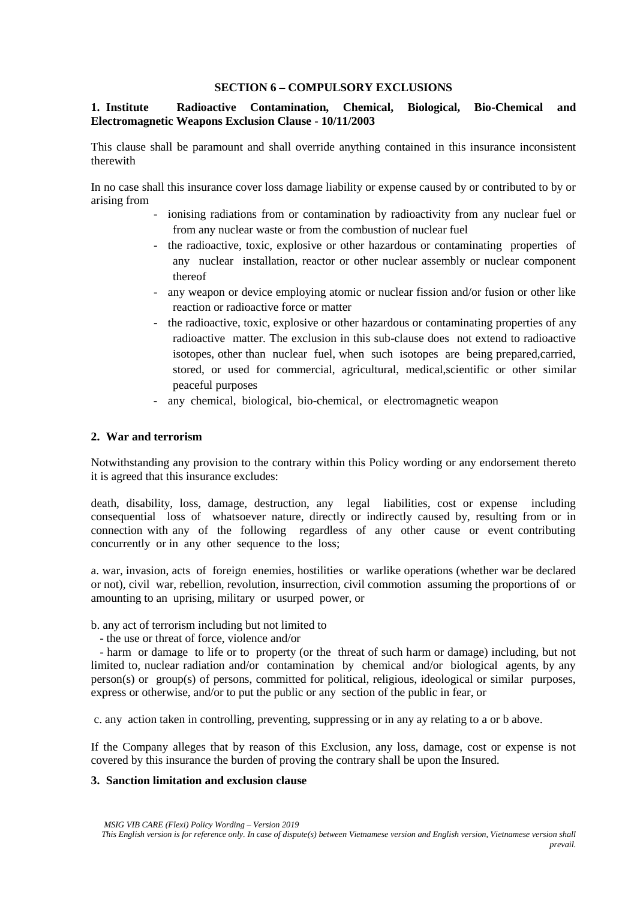## **SECTION 6 – COMPULSORY EXCLUSIONS**

# **1. Institute Radioactive Contamination, Chemical, Biological, Bio-Chemical and Electromagnetic Weapons Exclusion Clause - 10/11/2003**

This clause shall be paramount and shall override anything contained in this insurance inconsistent therewith

In no case shall this insurance cover loss damage liability or expense caused by or contributed to by or arising from

- ionising radiations from or contamination by radioactivity from any nuclear fuel or from any nuclear waste or from the combustion of nuclear fuel
- the radioactive, toxic, explosive or other hazardous or contaminating properties of any nuclear installation, reactor or other nuclear assembly or nuclear component thereof
- any weapon or device employing atomic or nuclear fission and/or fusion or other like reaction or radioactive force or matter
- the radioactive, toxic, explosive or other hazardous or contaminating properties of any radioactive matter. The exclusion in this sub-clause does not extend to radioactive isotopes, other than nuclear fuel, when such isotopes are being prepared,carried, stored, or used for commercial, agricultural, medical,scientific or other similar peaceful purposes
- any chemical, biological, bio-chemical, or electromagnetic weapon

## **2. War and terrorism**

Notwithstanding any provision to the contrary within this Policy wording or any endorsement thereto it is agreed that this insurance excludes:

death, disability, loss, damage, destruction, any legal liabilities, cost or expense including consequential loss of whatsoever nature, directly or indirectly caused by, resulting from or in connection with any of the following regardless of any other cause or event contributing concurrently or in any other sequence to the loss;

a. war, invasion, acts of foreign enemies, hostilities or warlike operations (whether war be declared or not), civil war, rebellion, revolution, insurrection, civil commotion assuming the proportions of or amounting to an uprising, military or usurped power, or

b. any act of terrorism including but not limited to

- the use or threat of force, violence and/or

 - harm or damage to life or to property (or the threat of such harm or damage) including, but not limited to, nuclear radiation and/or contamination by chemical and/or biological agents, by any person(s) or group(s) of persons, committed for political, religious, ideological or similar purposes, express or otherwise, and/or to put the public or any section of the public in fear, or

c. any action taken in controlling, preventing, suppressing or in any ay relating to a or b above.

If the Company alleges that by reason of this Exclusion, any loss, damage, cost or expense is not covered by this insurance the burden of proving the contrary shall be upon the Insured.

## **3. Sanction limitation and exclusion clause**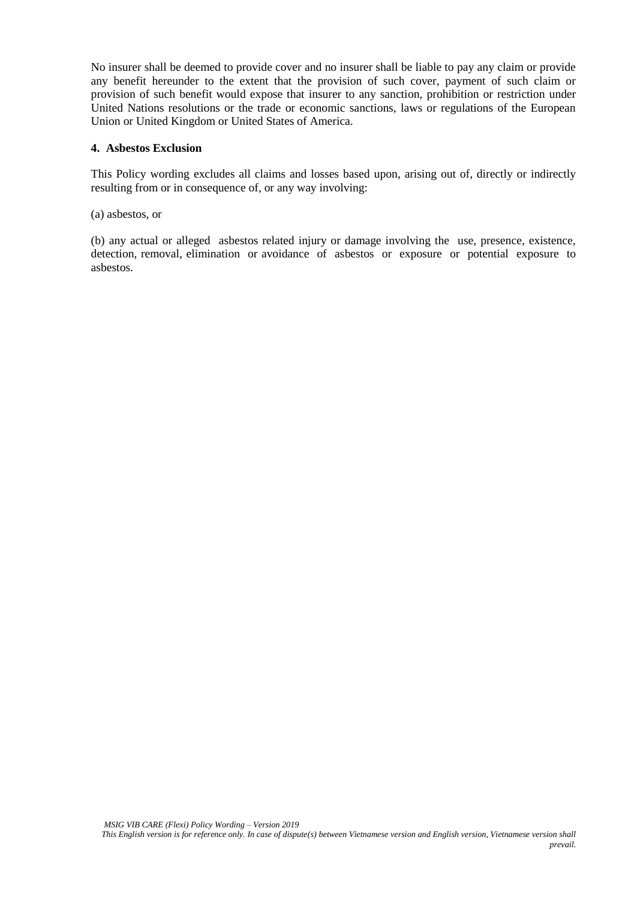No insurer shall be deemed to provide cover and no insurer shall be liable to pay any claim or provide any benefit hereunder to the extent that the provision of such cover, payment of such claim or provision of such benefit would expose that insurer to any sanction, prohibition or restriction under United Nations resolutions or the trade or economic sanctions, laws or regulations of the European Union or United Kingdom or United States of America.

## **4. Asbestos Exclusion**

This Policy wording excludes all claims and losses based upon, arising out of, directly or indirectly resulting from or in consequence of, or any way involving:

(a) asbestos, or

(b) any actual or alleged asbestos related injury or damage involving the use, presence, existence, detection, removal, elimination or avoidance of asbestos or exposure or potential exposure to asbestos.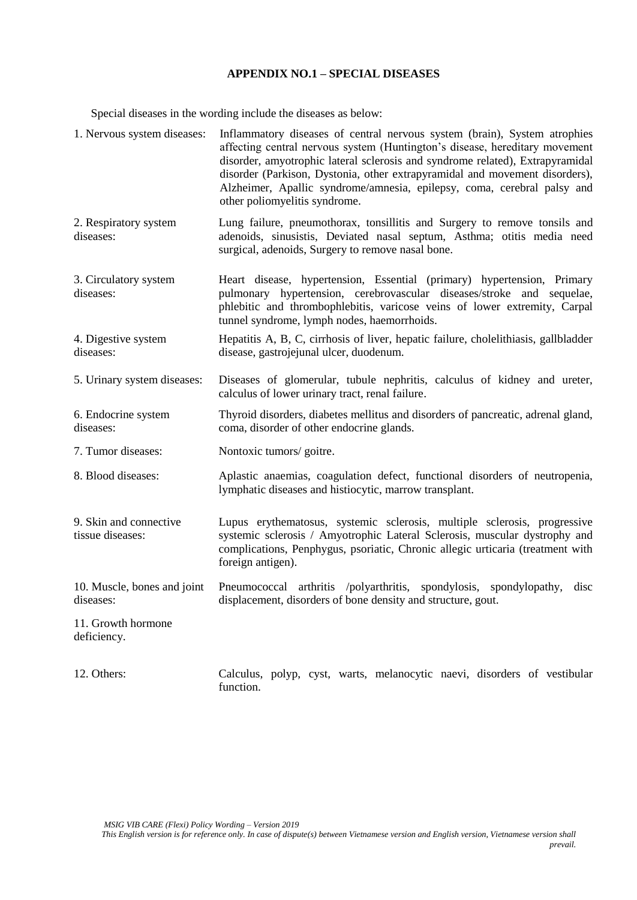## **APPENDIX NO.1 – SPECIAL DISEASES**

Special diseases in the wording include the diseases as below:

function.

| 1. Nervous system diseases:                | Inflammatory diseases of central nervous system (brain), System atrophies<br>affecting central nervous system (Huntington's disease, hereditary movement<br>disorder, amyotrophic lateral sclerosis and syndrome related), Extrapyramidal<br>disorder (Parkison, Dystonia, other extrapyramidal and movement disorders),<br>Alzheimer, Apallic syndrome/amnesia, epilepsy, coma, cerebral palsy and<br>other poliomyelitis syndrome. |
|--------------------------------------------|--------------------------------------------------------------------------------------------------------------------------------------------------------------------------------------------------------------------------------------------------------------------------------------------------------------------------------------------------------------------------------------------------------------------------------------|
| 2. Respiratory system<br>diseases:         | Lung failure, pneumothorax, tonsillitis and Surgery to remove tonsils and<br>adenoids, sinusistis, Deviated nasal septum, Asthma; otitis media need<br>surgical, adenoids, Surgery to remove nasal bone.                                                                                                                                                                                                                             |
| 3. Circulatory system<br>diseases:         | Heart disease, hypertension, Essential (primary) hypertension, Primary<br>pulmonary hypertension, cerebrovascular diseases/stroke and sequelae,<br>phlebitic and thrombophlebitis, varicose veins of lower extremity, Carpal<br>tunnel syndrome, lymph nodes, haemorrhoids.                                                                                                                                                          |
| 4. Digestive system<br>diseases:           | Hepatitis A, B, C, cirrhosis of liver, hepatic failure, cholelithiasis, gallbladder<br>disease, gastrojejunal ulcer, duodenum.                                                                                                                                                                                                                                                                                                       |
| 5. Urinary system diseases:                | Diseases of glomerular, tubule nephritis, calculus of kidney and ureter,<br>calculus of lower urinary tract, renal failure.                                                                                                                                                                                                                                                                                                          |
| 6. Endocrine system<br>diseases:           | Thyroid disorders, diabetes mellitus and disorders of pancreatic, adrenal gland,<br>coma, disorder of other endocrine glands.                                                                                                                                                                                                                                                                                                        |
| 7. Tumor diseases:                         | Nontoxic tumors/ goitre.                                                                                                                                                                                                                                                                                                                                                                                                             |
| 8. Blood diseases:                         | Aplastic anaemias, coagulation defect, functional disorders of neutropenia,<br>lymphatic diseases and histiocytic, marrow transplant.                                                                                                                                                                                                                                                                                                |
| 9. Skin and connective<br>tissue diseases: | Lupus erythematosus, systemic sclerosis, multiple sclerosis, progressive<br>systemic sclerosis / Amyotrophic Lateral Sclerosis, muscular dystrophy and<br>complications, Penphygus, psoriatic, Chronic allegic urticaria (treatment with<br>foreign antigen).                                                                                                                                                                        |
| 10. Muscle, bones and joint<br>diseases:   | Pneumococcal arthritis /polyarthritis, spondylosis, spondylopathy,<br>disc<br>displacement, disorders of bone density and structure, gout.                                                                                                                                                                                                                                                                                           |
| 11. Growth hormone<br>deficiency.          |                                                                                                                                                                                                                                                                                                                                                                                                                                      |
| 12. Others:                                | Calculus, polyp, cyst, warts, melanocytic naevi, disorders of vestibular                                                                                                                                                                                                                                                                                                                                                             |